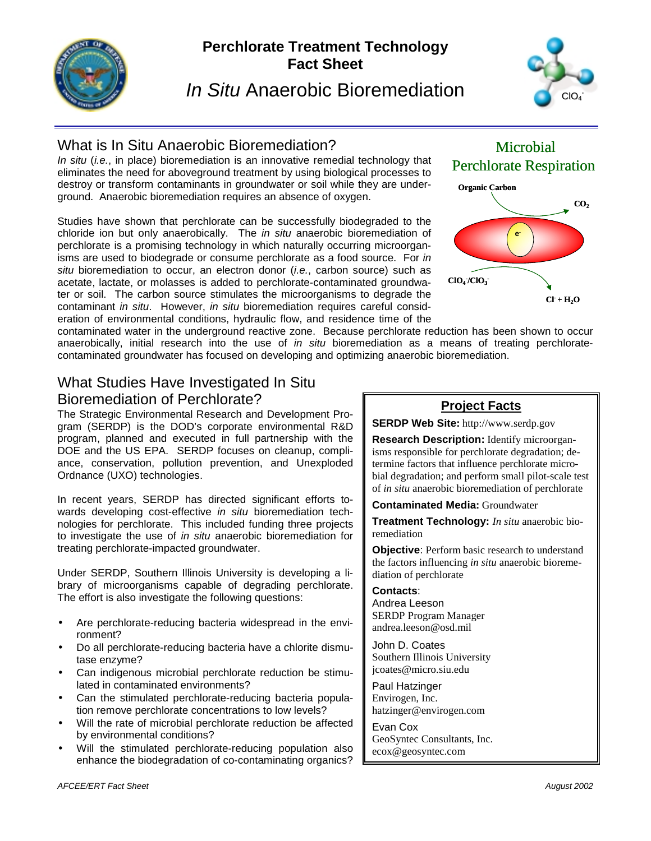

# **Perchlorate Treatment Technology Fact Sheet**

*In Situ* Anaerobic Bioremediation



# What is In Situ Anaerobic Bioremediation?

*In situ* (*i.e.*, in place) bioremediation is an innovative remedial technology that eliminates the need for aboveground treatment by using biological processes to destroy or transform contaminants in groundwater or soil while they are underground. Anaerobic bioremediation requires an absence of oxygen.

Studies have shown that perchlorate can be successfully biodegraded to the chloride ion but only anaerobically. The *in situ* anaerobic bioremediation of perchlorate is a promising technology in which naturally occurring microorganisms are used to biodegrade or consume perchlorate as a food source. For *in situ* bioremediation to occur, an electron donor (*i.e.*, carbon source) such as acetate, lactate, or molasses is added to perchlorate-contaminated groundwater or soil. The carbon source stimulates the microorganisms to degrade the contaminant *in situ*. However, *in situ* bioremediation requires careful consideration of environmental conditions, hydraulic flow, and residence time of the



contaminated water in the underground reactive zone. Because perchlorate reduction has been shown to occur anaerobically, initial research into the use of *in situ* bioremediation as a means of treating perchloratecontaminated groundwater has focused on developing and optimizing anaerobic bioremediation.

## What Studies Have Investigated In Situ Bioremediation of Perchlorate?

The Strategic Environmental Research and Development Program (SERDP) is the DOD's corporate environmental R&D program, planned and executed in full partnership with the DOE and the US EPA. SERDP focuses on cleanup, compliance, conservation, pollution prevention, and Unexploded Ordnance (UXO) technologies.

In recent years, SERDP has directed significant efforts towards developing cost-effective *in situ* bioremediation technologies for perchlorate. This included funding three projects to investigate the use of *in situ* anaerobic bioremediation for treating perchlorate-impacted groundwater.

Under SERDP, Southern Illinois University is developing a library of microorganisms capable of degrading perchlorate. The effort is also investigate the following questions:

- Are perchlorate-reducing bacteria widespread in the environment?
- Do all perchlorate-reducing bacteria have a chlorite dismutase enzyme?
- Can indigenous microbial perchlorate reduction be stimulated in contaminated environments?
- Can the stimulated perchlorate-reducing bacteria population remove perchlorate concentrations to low levels?
- Will the rate of microbial perchlorate reduction be affected by environmental conditions?
- Will the stimulated perchlorate-reducing population also enhance the biodegradation of co-contaminating organics?

#### **Project Facts**

**SERDP Web Site:** http://www.serdp.gov

**Research Description:** Identify microorganisms responsible for perchlorate degradation; determine factors that influence perchlorate microbial degradation; and perform small pilot-scale test of *in situ* anaerobic bioremediation of perchlorate

**Contaminated Media:** Groundwater

**Treatment Technology:** *In situ* anaerobic bioremediation

**Objective:** Perform basic research to understand the factors influencing *in situ* anaerobic bioremediation of perchlorate

**Contacts**: Andrea Leeson SERDP Program Manager andrea.leeson@osd.mil

John D. Coates Southern Illinois University jcoates@micro.siu.edu

Paul Hatzinger Envirogen, Inc. hatzinger@envirogen.com

Evan Cox GeoSyntec Consultants, Inc. ecox@geosyntec.com